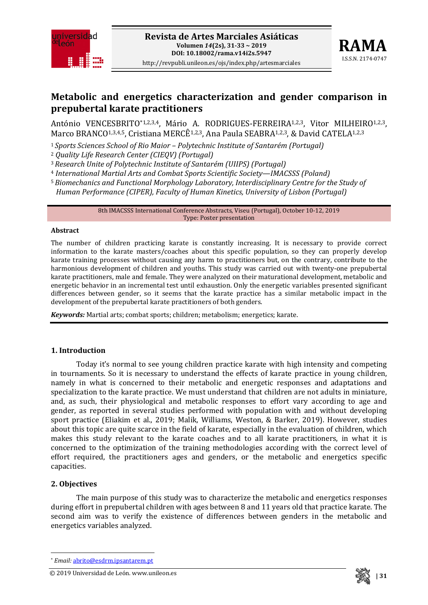



# **Metabolic and energetics characterization and gender comparison in prepubertal karate practitioners**

António VENCESBRITO[\\*1](#page-0-0),2,3,4, Mário A. RODRIGUES-FERREIRA<sup>1,2,3</sup>, Vitor MILHEIRO<sup>1,2,3</sup>, Marco BRANCO<sup>1,3,4,5</sup>, Cristiana MERCÊ<sup>1,2,3</sup>, Ana Paula SEABRA<sup>1,2,3</sup>, & David CATELA<sup>1,2,3</sup>

- <sup>1</sup> *Sports Sciences School of Rio Maior – Polytechnic Institute of Santarém (Portugal)*
- <sup>2</sup> *Quality Life Research Center (CIEQV) (Portugal)*

<sup>3</sup>*Research Unite of Polytechnic Institute of Santarém (UIIPS) (Portugal)*

- <sup>4</sup> *International Martial Arts and Combat Sports Scientific Society—IMACSSS (Poland)*
- <sup>5</sup>*Biomechanics and Functional Morphology Laboratory, Interdisciplinary Centre for the Study of*

*Human Performance (CIPER), Faculty of Human Kinetics, University of Lisbon (Portugal)*

8th IMACSSS International Conference Abstracts, Viseu (Portugal), October 10-12, 2019 Type: Poster presentation

#### **Abstract**

The number of children practicing karate is constantly increasing. It is necessary to provide correct information to the karate masters/coaches about this specific population, so they can properly develop karate training processes without causing any harm to practitioners but, on the contrary, contribute to the harmonious development of children and youths. This study was carried out with twenty-one prepubertal karate practitioners, male and female. They were analyzed on their maturational development, metabolic and energetic behavior in an incremental test until exhaustion. Only the energetic variables presented significant differences between gender, so it seems that the karate practice has a similar metabolic impact in the development of the prepubertal karate practitioners of both genders.

*Keywords:* Martial arts; combat sports; children; metabolism; energetics; karate.

#### **1. Introduction**

Today it's normal to see young children practice karate with high intensity and competing in tournaments. So it is necessary to understand the effects of karate practice in young children, namely in what is concerned to their metabolic and energetic responses and adaptations and specialization to the karate practice. We must understand that children are not adults in miniature, and, as such, their physiological and metabolic responses to effort vary according to age and gender, as reported in several studies performed with population with and without developing sport practice (Eliakim et al., 2019; Malik, Williams, Weston, & Barker, 2019). However, studies about this topic are quite scarce in the field of karate, especially in the evaluation of children, which makes this study relevant to the karate coaches and to all karate practitioners, in what it is concerned to the optimization of the training methodologies according with the correct level of effort required, the practitioners ages and genders, or the metabolic and energetics specific capacities.

#### **2. Objectives**

**.** 

The main purpose of this study was to characterize the metabolic and energetics responses during effort in prepubertal children with ages between 8 and 11 years old that practice karate. The second aim was to verify the existence of differences between genders in the metabolic and energetics variables analyzed.

<span id="page-0-0"></span><sup>© 2019</sup> **| 31** Universidad de León. www.unileon.es



<sup>\*</sup> *Email:* [abrito@esdrm.ipsantarem.pt](mailto:abrito@esdrm.ipsantarem.pt)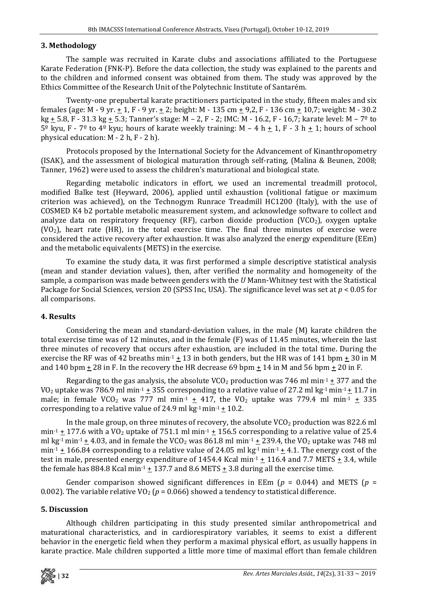### **3. Methodology**

The sample was recruited in Karate clubs and associations affiliated to the Portuguese Karate Federation (FNK-P). Before the data collection, the study was explained to the parents and to the children and informed consent was obtained from them. The study was approved by the Ethics Committee of the Research Unit of the Polytechnic Institute of Santarém.

Twenty-one prepubertal karate practitioners participated in the study, fifteen males and six females (age: M - 9 yr.  $\pm$  1, F - 9 yr.  $\pm$  2; height: M - 135 cm  $\pm$  9,2, F - 136 cm  $\pm$  10,7; weight: M - 30.2 kg  $\pm$  5.8, F - 31.3 kg  $\pm$  5.3; Tanner's stage: M – 2, F - 2; IMC: M - 16.2, F - 16,7; karate level: M – 7<sup>o</sup> to  $5^{\circ}$  kyu, F - 7<sup>°</sup> to 4<sup>°</sup> kyu; hours of karate weekly training: M – 4 h  $\pm$  1, F - 3 h  $\pm$  1; hours of school physical education: M - 2 h, F - 2 h).

Protocols proposed by the International Society for the Advancement of Kinanthropometry (ISAK), and the assessment of biological maturation through self-rating, (Malina & Beunen, 2008; Tanner, 1962) were used to assess the children's maturational and biological state.

Regarding metabolic indicators in effort, we used an incremental treadmill protocol, modified Balke test (Heyward, 2006), applied until exhaustion (volitional fatigue or maximum criterion was achieved), on the Technogym Runrace Treadmill HC1200 (Italy), with the use of COSMED K4 b2 portable metabolic measurement system, and acknowledge software to collect and analyze data on respiratory frequency (RF), carbon dioxide production (VCO<sub>2</sub>), oxygen uptake  $(VO<sub>2</sub>)$ , heart rate (HR), in the total exercise time. The final three minutes of exercise were considered the active recovery after exhaustion. It was also analyzed the energy expenditure (EEm) and the metabolic equivalents (METS) in the exercise.

To examine the study data, it was first performed a simple descriptive statistical analysis (mean and stander deviation values), then, after verified the normality and homogeneity of the sample, a comparison was made between genders with the *U* Mann-Whitney test with the Statistical Package for Social Sciences, version 20 (SPSS Inc, USA). The significance level was set at *p* < 0.05 for all comparisons.

## **4. Results**

Considering the mean and standard-deviation values, in the male (M) karate children the total exercise time was of 12 minutes, and in the female (F) was of 11.45 minutes, wherein the last three minutes of recovery that occurs after exhaustion, are included in the total time. During the exercise the RF was of 42 breaths min<sup>-1</sup> + 13 in both genders, but the HR was of 141 bpm + 30 in M and 140 bpm  $\pm$  28 in F. In the recovery the HR decrease 69 bpm  $\pm$  14 in M and 56 bpm  $\pm$  20 in F.

Regarding to the gas analysis, the absolute  $VCO_2$  production was 746 ml min<sup>-1</sup>  $\pm$  377 and the  $VO<sub>2</sub> uptake was 786.9 ml min<sup>-1</sup> + 355 corresponding to a relative value of 27.2 ml kg<sup>-1</sup> min<sup>-1</sup> + 11.7 in$ male; in female VCO<sub>2</sub> was 777 ml min<sup>-1</sup>  $\pm$  417, the VO<sub>2</sub> uptake was 779.4 ml min<sup>-1</sup>  $\pm$  335 corresponding to a relative value of 24.9 ml kg $\cdot$ 1 min $\cdot$ 1 + 10.2.

In the male group, on three minutes of recovery, the absolute  $VCO<sub>2</sub>$  production was 822.6 ml min<sup>-1</sup>  $\pm$  177.6 with a VO<sub>2</sub> uptake of 751.1 ml min<sup>-1</sup>  $\pm$  156.5 corresponding to a relative value of 25.4 ml kg-1 min-1  $\pm$  4.03, and in female the VCO<sub>2</sub> was 861.8 ml min-1  $\pm$  239.4, the VO<sub>2</sub> uptake was 748 ml  $min<sup>-1</sup> \pm 166.84$  corresponding to a relative value of 24.05 ml kg<sup>-1</sup> min<sup>-1</sup>  $\pm$  4.1. The energy cost of the test in male, presented energy expenditure of 1454.4 Kcal min<sup>-1</sup>  $\pm$  116.4 and 7.7 METS  $\pm$  3.4, while the female has 884.8 Kcal min<sup>-1</sup>  $\pm$  137.7 and 8.6 METS  $\pm$  3.8 during all the exercise time.

Gender comparison showed significant differences in EEm ( $p = 0.044$ ) and METS ( $p =$ 0.002). The variable relative VO<sub>2</sub> ( $p = 0.066$ ) showed a tendency to statistical difference.

## **5. Discussion**

Although children participating in this study presented similar anthropometrical and maturational characteristics, and in cardiorespiratory variables, it seems to exist a different behavior in the energetic field when they perform a maximal physical effort, as usually happens in karate practice. Male children supported a little more time of maximal effort than female children